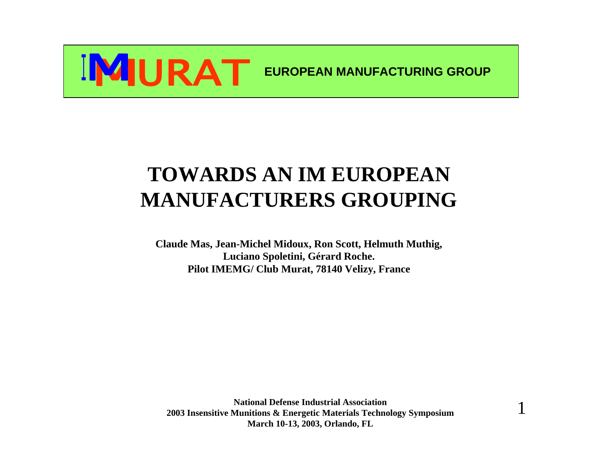

### **TOWARDS AN IM EUROPEAN MANUFACTURERS GROUPING**

**Claude Mas, Jean-Michel Midoux, Ron Scott, Helmuth Muthig, Luciano Spoletini, Gérard Roche. Pilot IMEMG/ Club Murat, 78140 Velizy, France**

**National Defense Industrial Association 2003 Insensitive Munitions & Energetic Materials Technology Symposium March 10-13, 2003, Orlando, FL**

1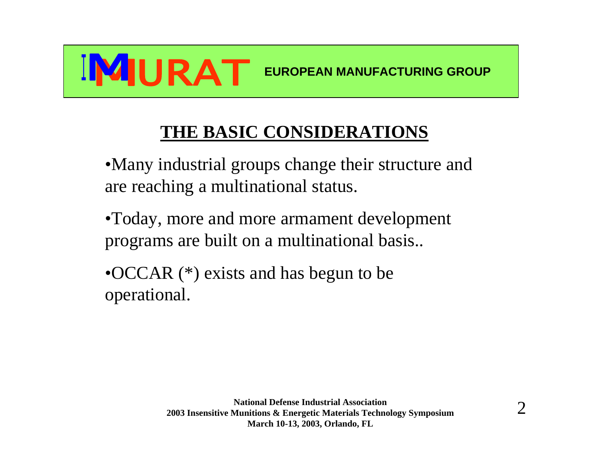

### **THE BASIC CONSIDERATIONS**

- •Many industrial groups change their structure and are reaching a multinational status.
- •Today, more and more armament development programs are built on a multinational basis..
- •OCCAR (\*) exists and has begun to be operational.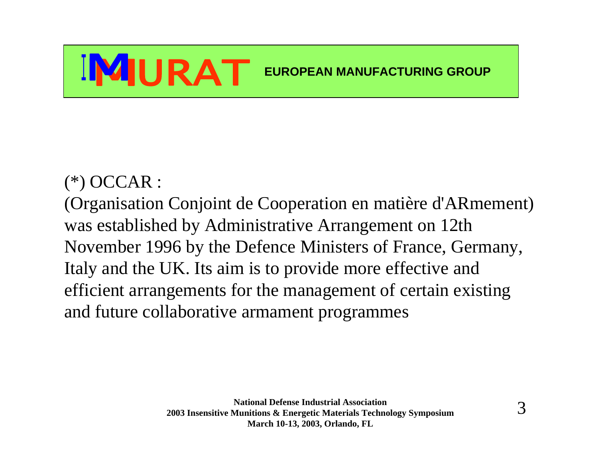#### (\*) OCCAR :

(Organisation Conjoint de Cooperation en matière d'ARmement) was established by Administrative Arrangement on 12th November 1996 by the Defence Ministers of France, Germany, Italy and the UK. Its aim is to provide more effective and efficient arrangements for the management of certain existing and future collaborative armament programmes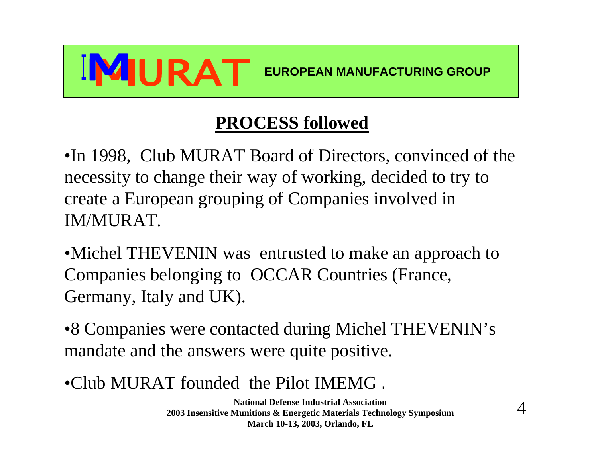

### **PROCESS followed**

•In 1998, Club MURAT Board of Directors, convinced of the necessity to change their way of working, decided to try to create a European grouping of Companies involved in IM/MURAT.

•Michel THEVENIN was entrusted to make an approach to Companies belonging to OCCAR Countries (France, Germany, Italy and UK).

•8 Companies were contacted during Michel THEVENIN's mandate and the answers were quite positive.

•Club MURAT founded the Pilot IMEMG .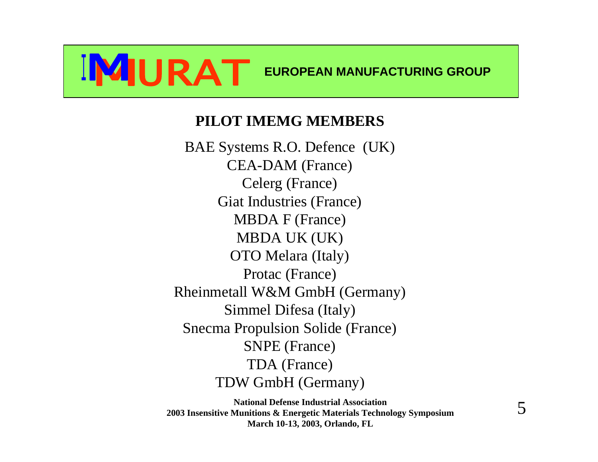#### **PILOT IMEMG MEMBERS**

BAE Systems R.O. Defence (UK) CEA-DAM (France) Celerg (France) Giat Industries (France) MBDA F (France) MBDA UK (UK) OTO Melara (Italy) Protac (France) Rheinmetall W&M GmbH (Germany) Simmel Difesa (Italy) Snecma Propulsion Solide (France) SNPE (France) TDA (France) TDW GmbH (Germany)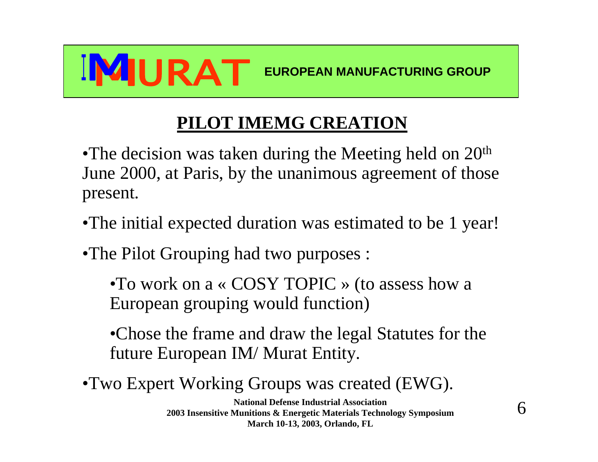

### **PILOT IMEMG CREATION**

•The decision was taken during the Meeting held on  $20<sup>th</sup>$ June 2000, at Paris, by the unanimous agreement of those present.

- •The initial expected duration was estimated to be 1 year!
- •The Pilot Grouping had two purposes :

•To work on a « COSY TOPIC » (to assess how a European grouping would function)

•Chose the frame and draw the legal Statutes for the future European IM/ Murat Entity.

•Two Expert Working Groups was created (EWG).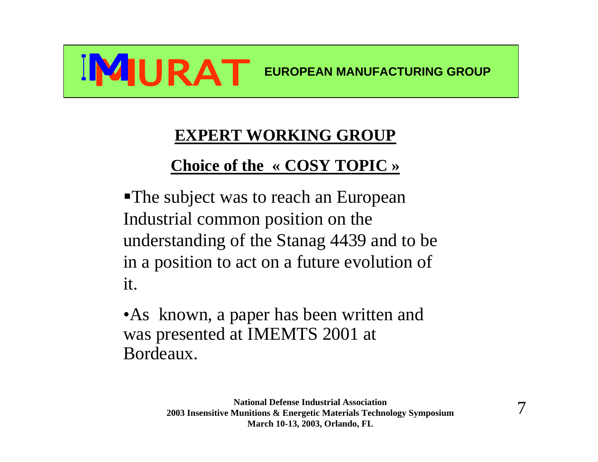

#### **EXPERT WORKING GROUP**

### **Choice of the « COSY TOPIC »**

• The subject was to reach an European Industrial common position on the understanding of the Stanag 4439 and to be in a position to act on a future evolution of it.

•As known, a paper has been written and was presented at IMEMTS 2001 at Bordeaux.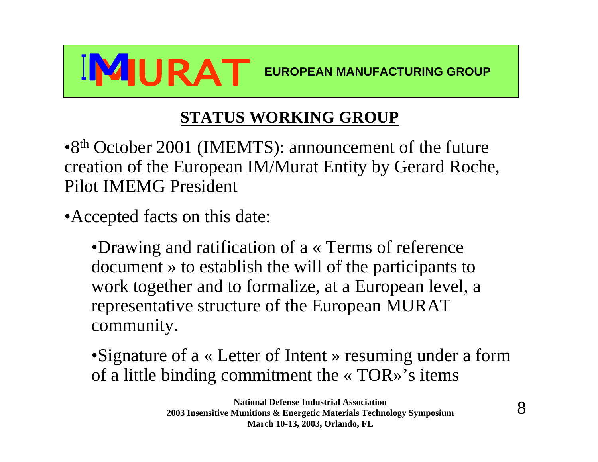

#### **STATUS WORKING GROUP**

•8<sup>th</sup> October 2001 (IMEMTS): announcement of the future creation of the European IM/Murat Entity by Gerard Roche, Pilot IMEMG President

•Accepted facts on this date:

•Drawing and ratification of a « Terms of reference document » to establish the will of the participants to work together and to formalize, at a European level, a representative structure of the European MURAT community.

•Signature of a « Letter of Intent » resuming under a form of a little binding commitment the « TOR»'s items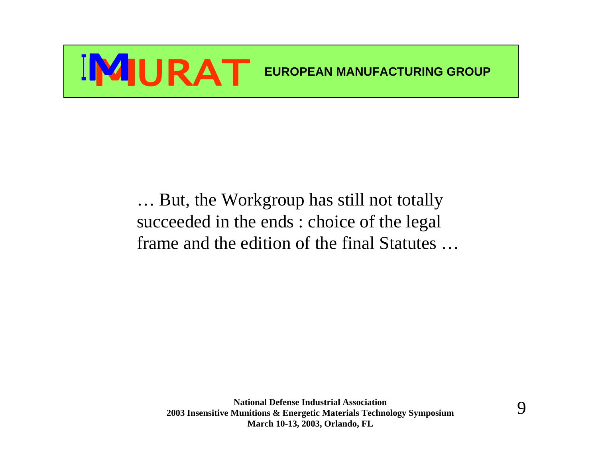… But, the Workgroup has still not totally succeeded in the ends : choice of the legal frame and the edition of the final Statutes …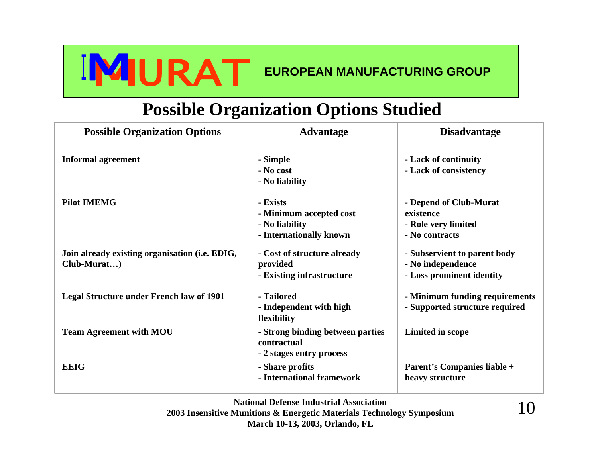#### **Possible Organization Options Studied**

| <b>Possible Organization Options</b>                          | <b>Advantage</b>                                                                 | <b>Disadvantage</b>                                                            |
|---------------------------------------------------------------|----------------------------------------------------------------------------------|--------------------------------------------------------------------------------|
| <b>Informal agreement</b>                                     | - Simple<br>- No cost<br>- No liability                                          | - Lack of continuity<br>- Lack of consistency                                  |
| <b>Pilot IMEMG</b>                                            | - Exists<br>- Minimum accepted cost<br>- No liability<br>- Internationally known | - Depend of Club-Murat<br>existence<br>- Role very limited<br>- No contracts   |
| Join already existing organisation (i.e. EDIG,<br>Club-Murat) | - Cost of structure already<br>provided<br>- Existing infrastructure             | - Subservient to parent body<br>- No independence<br>- Loss prominent identity |
| <b>Legal Structure under French law of 1901</b>               | - Tailored<br>- Independent with high<br>flexibility                             | - Minimum funding requirements<br>- Supported structure required               |
| <b>Team Agreement with MOU</b>                                | - Strong binding between parties<br>contractual<br>- 2 stages entry process      | Limited in scope                                                               |
| <b>EEIG</b>                                                   | - Share profits<br>- International framework                                     | Parent's Companies liable +<br>heavy structure                                 |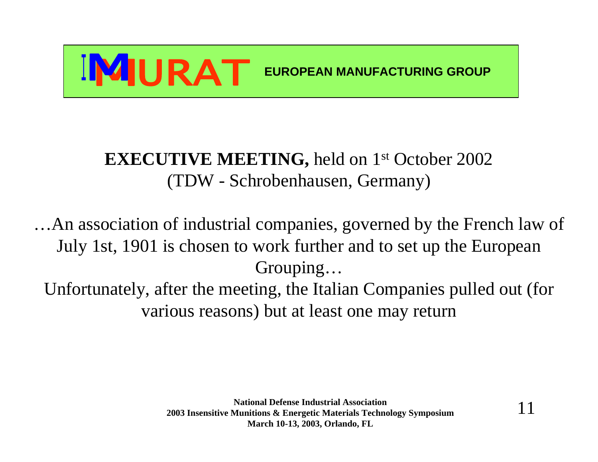

### EXECUTIVE MEETING, held on 1<sup>st</sup> October 2002 (TDW - Schrobenhausen, Germany)

…An association of industrial companies, governed by the French law of July 1st, 1901 is chosen to work further and to set up the European Grouping…

Unfortunately, after the meeting, the Italian Companies pulled out (for various reasons) but at least one may return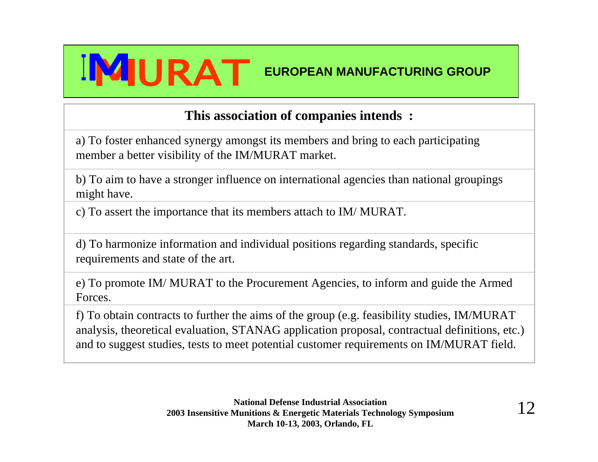

#### **This association of companies intends :**

a) To foster enhanced synergy amongst its members and bring to each participating member a better visibility of the IM/MURAT market.

b) To aim to have a stronger influence on international agencies than national groupings might have.

c) To assert the importance that its members attach to IM/ MURAT.

d) To harmonize information and individual positions regarding standards, specific requirements and state of the art.

e) To promote IM/ MURAT to the Procurement Agencies, to inform and guide the Armed Forces.

f) To obtain contracts to further the aims of the group (e.g. feasibility studies, IM/MURAT analysis, theoretical evaluation, STANAG application proposal, contractual definitions, etc.) and to suggest studies, tests to meet potential customer requirements on IM/MURAT field.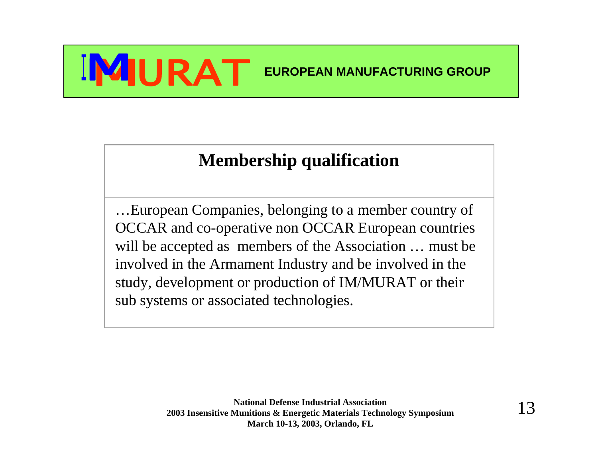### **Membership qualification**

…European Companies, belonging to a member country of OCCAR and co-operative non OCCAR European countries will be accepted as members of the Association … must be involved in the Armament Industry and be involved in the study, development or production of IM/MURAT or their sub systems or associated technologies.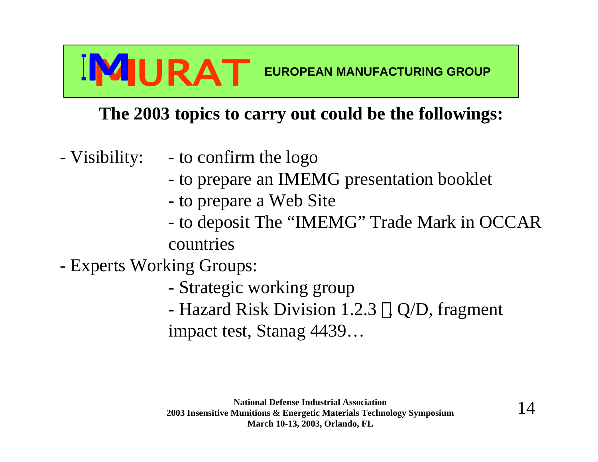### **The 2003 topics to carry out could be the followings:**

- Visibility: to confirm the logo
	- to prepare an IMEMG presentation booklet
	- to prepare a Web Site
	- to deposit The "IMEMG" Trade Mark in OCCAR countries

- Experts Working Groups:

- Strategic working group
- Hazard Risk Division 1.2.3 , Q/D, fragment impact test, Stanag 4439…